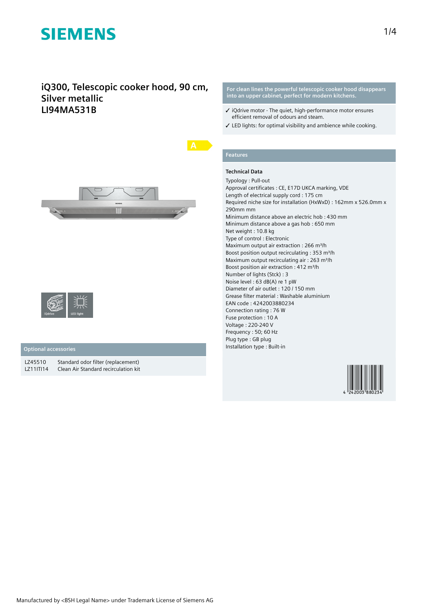## **iQ300, Telescopic cooker hood, 90 cm, Silver metallic LI94MA531B**





### **Optional accessories**

LZ45510 Standard odor filter (replacement)<br>LZ11ITI14 Clean Air Standard recirculation kit Clean Air Standard recirculation kit **For clean lines the powerful telescopic cooker hood disappears into an upper cabinet, perfect for modern kitchens.**

- ✓ iQdrive motor The quiet, high-performance motor ensures efficient removal of odours and steam.
- ✓ LED lights: for optimal visibility and ambience while cooking.

# **Features**

### **Technical Data**

Typology : Pull-out Approval certificates : CE, E17D UKCA marking, VDE Length of electrical supply cord : 175 cm Required niche size for installation (HxWxD) : 162mm x 526.0mm x 290mm mm Minimum distance above an electric hob : 430 mm Minimum distance above a gas hob : 650 mm Net weight : 10.8 kg Type of control : Electronic Maximum output air extraction : 266 m<sup>3</sup>/h Boost position output recirculating : 353 m<sup>3</sup>/h Maximum output recirculating air : 263 m<sup>3</sup>/h Boost position air extraction : 412 m<sup>3</sup>/h Number of lights (Stck) : 3 Noise level : 63 dB(A) re 1 pW Diameter of air outlet : 120 / 150 mm Grease filter material : Washable aluminium EAN code : 4242003880234 Connection rating : 76 W Fuse protection : 10 A Voltage : 220-240 V Frequency : 50; 60 Hz Plug type : GB plug Installation type : Built-in

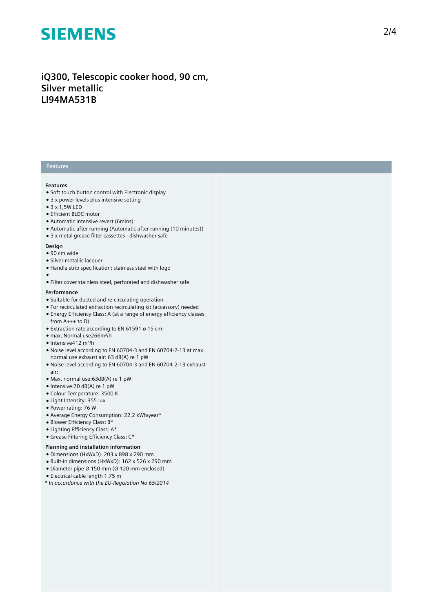## iQ300, Telescopic cooker hood, 90 cm, **Silver metallic LI94MA531B**

### **Features**

### **Features**

- Soft touch button control with Electronic display
- $\bullet$  3 x power levels plus intensive setting
- $\bullet$  3 x 1,5W LED
- Efficient BLDC motor
- Automatic intensive revert (6mins)
- Automatic after running (Automatic after running (10 minutes))
- 3 x metal grease filter cassettes dishwasher safe

#### **Design**

- 90 cm wide
- Silver metallic lacquer
- Handle strip specification: stainless steel with logo
- 
- ●<br>● Filter cover stainless steel, perforated and dishwasher safe

### **P e r f o r m a n c e**

- Suitable for ducted and re-circulating operation
- For recirculated extraction recirculating kit (accessory) needed
- $\bullet$  Energy Efficiency Class: A (at a range of energy efficiency classes
- from  $A_{+++}$  to D)  $\bullet$  Extraction rate according to EN 61591 ø 15 cm:
- max. Normal use266m³/h
- Intensive412 m³/h
- Noise level according to EN 60704-3 and EN 60704-2-13 at max. normal use exhaust air: 63 dB(A) re 1 pW
- Noise level according to EN 60704-3 and EN 60704-2-13 exhaust a i r :
- Max. normal use:63dB(A) re 1 pW
- Intensive: 70 dB(A) re 1 pW
- Colour Temperature: 3500 K
- Light Intensity: 355 lux
- Power rating: 76 W
- Average Energy Consumption: 22.2 kWh/year\*
- Blower Efficiency Class: B\*
- Lighting Efficiency Class: A\*
- Grease Filtering Efficiency Class: C\*

#### Planning and installation information

- Dimensions (HxWxD): 203 x 898 x 290 mm
- Built-in dimensions (HxWxD): 162 x 526 x 290 mm
- Diameter pipe Ø 150 mm (Ø 120 mm enclosed)
- Electrical cable length 1.75 m
- *\* In accordance with the EU-Regulation No 65/2014*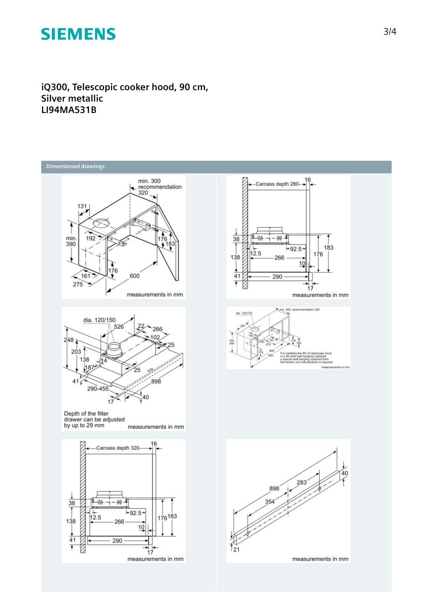**iQ300, Telescopic cooker hood, 90 cm, Silver metallic LI94MA531B**